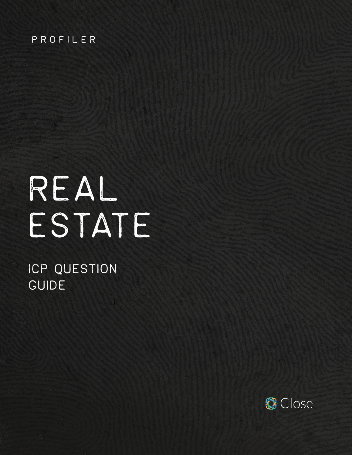#### PROFILER

# REAL ESTATE

# ICP QUESTION GUIDE

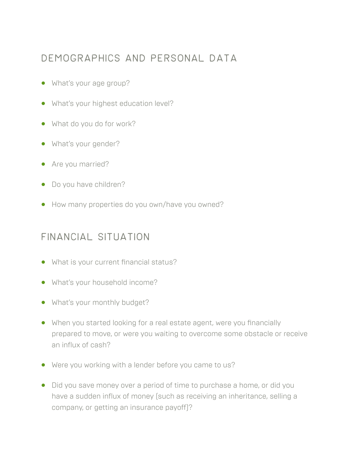#### Demographics and personal data

- **•** What's your age group?
- **•** What's your highest education level?
- **•** What do you do for work?
- **•** What's your gender?
- **•** Are you married?
- **•** Do you have children?
- **•** How many properties do you own/have you owned?

#### Financial situation

- **•** What is your current financial status?
- **•** What's your household income?
- **•** What's your monthly budget?
- **•** When you started looking for a real estate agent, were you financially prepared to move, or were you waiting to overcome some obstacle or receive an influx of cash?
- **•** Were you working with a lender before you came to us?
- **•** Did you save money over a period of time to purchase a home, or did you have a sudden influx of money (such as receiving an inheritance, selling a company, or getting an insurance payoff)?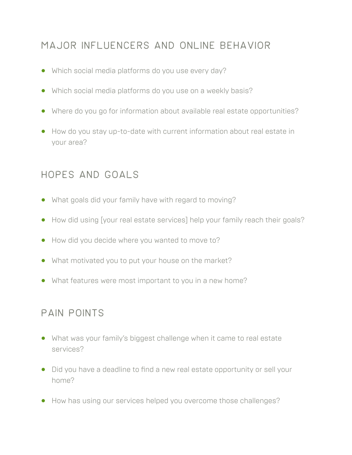# Major influencers and online behavior

- **•** Which social media platforms do you use every day?
- **•** Which social media platforms do you use on a weekly basis?
- **•** Where do you go for information about available real estate opportunities?
- **•** How do you stay up-to-date with current information about real estate in your area?

#### Hopes and goals

- **•** What goals did your family have with regard to moving?
- **•** How did using [your real estate services] help your family reach their goals?
- **•** How did you decide where you wanted to move to?
- **•** What motivated you to put your house on the market?
- **•** What features were most important to you in a new home?

#### pain points

- **•** What was your family's biggest challenge when it came to real estate services?
- **•** Did you have a deadline to find a new real estate opportunity or sell your home?
- **•** How has using our services helped you overcome those challenges?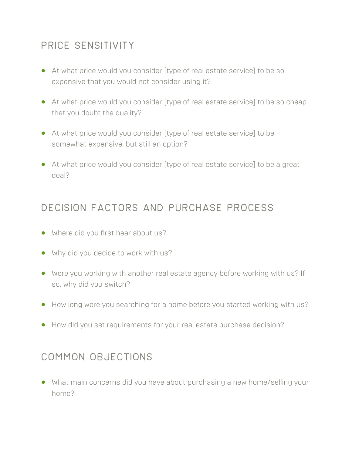# Price sensitivity

- **•** At what price would you consider [type of real estate service] to be so expensive that you would not consider using it?
- **•** At what price would you consider [type of real estate service] to be so cheap that you doubt the quality?
- **•** At what price would you consider [type of real estate service] to be somewhat expensive, but still an option?
- **•** At what price would you consider [type of real estate service] to be a great deal?

#### Decision factors and purchase process

- **•** Where did you first hear about us?
- **•** Why did you decide to work with us?
- **•** Were you working with another real estate agency before working with us? If so, why did you switch?
- **•** How long were you searching for a home before you started working with us?
- **•** How did you set requirements for your real estate purchase decision?

#### Common objections

**•** What main concerns did you have about purchasing a new home/selling your home?